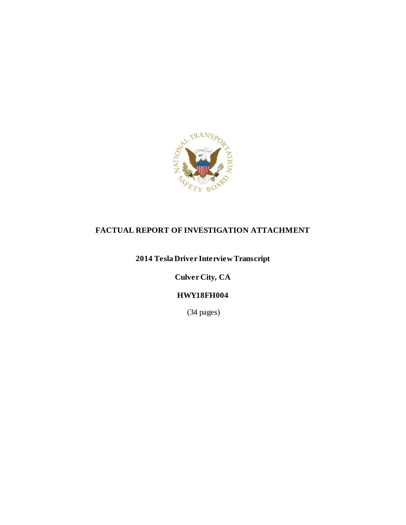

### **FACTUAL REPORT OF INVESTIGATION ATTACHMENT**

# **2014 Tesla Driver Interview Transcript**

**Culver City, CA**

## **HWY18FH004**

(34 pages)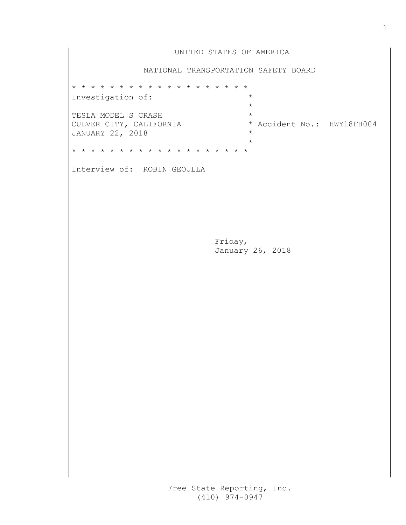|                                                                    | UNITED STATES OF AMERICA                                    |
|--------------------------------------------------------------------|-------------------------------------------------------------|
|                                                                    | NATIONAL TRANSPORTATION SAFETY BOARD                        |
| * * * * * * * * * * * * * * * * * * *                              |                                                             |
| Investigation of:                                                  | $\star$<br>$\star$                                          |
| TESLA MODEL S CRASH<br>CULVER CITY, CALIFORNIA<br>JANUARY 22, 2018 | $\star$<br>* Accident No.: HWY18FH004<br>$\star$<br>$\star$ |
| * * * * * * * * * * * * * * * * * * *                              |                                                             |
| Interview of: ROBIN GEOULLA                                        |                                                             |
|                                                                    | Friday,<br>January 26, 2018                                 |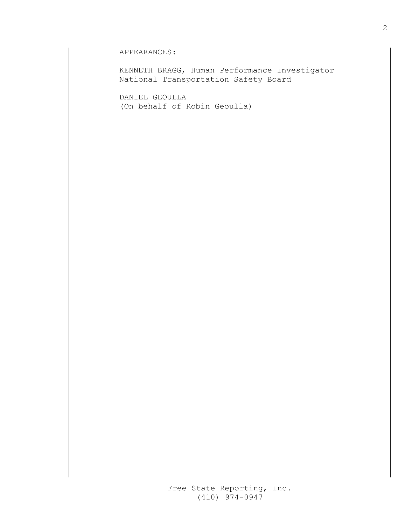### APPEARANCES:

 KENNETH BRAGG, Human Performance InvestigatorNational Transportation Safety Board

 DANIEL GEOULLA (On behalf of Robin Geoulla)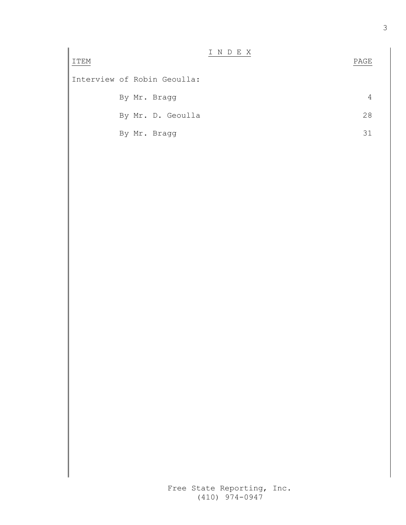| ITEM |                             | INDEX | PAGE |
|------|-----------------------------|-------|------|
|      | Interview of Robin Geoulla: |       |      |
|      | By Mr. Bragg                |       | 4    |
|      | By Mr. D. Geoulla           |       | 28   |
|      | By Mr. Bragg                |       | 31   |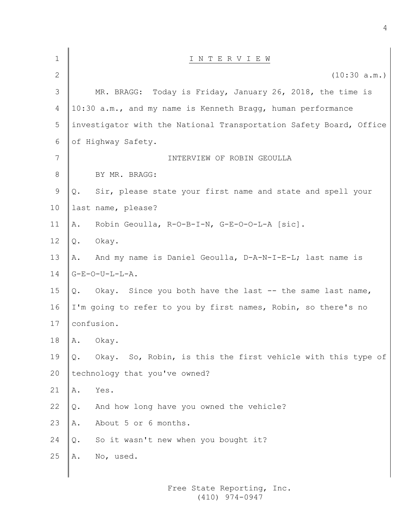| 1              | INTERVIEW                                                          |
|----------------|--------------------------------------------------------------------|
| $\overline{2}$ | (10:30 a.m.)                                                       |
| 3              | MR. BRAGG: Today is Friday, January 26, 2018, the time is          |
| 4              | 10:30 a.m., and my name is Kenneth Bragg, human performance        |
| 5              | investigator with the National Transportation Safety Board, Office |
| 6              | of Highway Safety.                                                 |
| 7              | INTERVIEW OF ROBIN GEOULLA                                         |
| 8              | BY MR. BRAGG:                                                      |
| 9              | Sir, please state your first name and state and spell your<br>Q.   |
| 10             | last name, please?                                                 |
| 11             | Robin Geoulla, R-O-B-I-N, G-E-O-O-L-A [sic].<br>Α.                 |
| 12             | Okay.<br>Q.                                                        |
| 13             | And my name is Daniel Geoulla, D-A-N-I-E-L; last name is<br>Α.     |
| 14             | $G-E-O-U-L-L-A.$                                                   |
| 15             | Okay. Since you both have the last -- the same last name,<br>Q.    |
| 16             | I'm going to refer to you by first names, Robin, so there's no     |
| 17             | confusion.                                                         |
| 18             | Α.<br>Okay.                                                        |
| 19             | Okay. So, Robin, is this the first vehicle with this type of<br>Q. |
| 20             | technology that you've owned?                                      |
| 21             | Yes.<br>Α.                                                         |
| 22             | And how long have you owned the vehicle?<br>Q.                     |
| 23             | About 5 or 6 months.<br>Α.                                         |
| 24             | So it wasn't new when you bought it?<br>Q.                         |
| 25             | No, used.<br>Α.                                                    |
|                |                                                                    |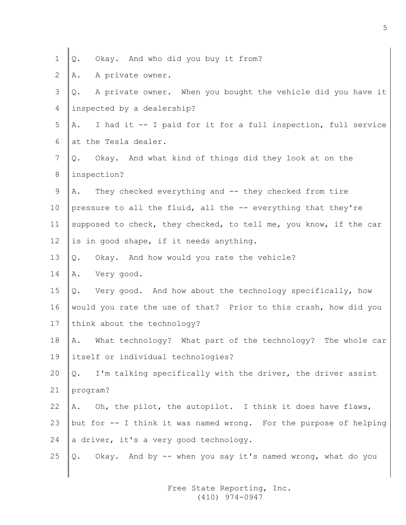|  | $1 \mid \mathcal{Q}$ . | Okay. And who did you buy it from? |  |  |  |  |  |  |  |  |
|--|------------------------|------------------------------------|--|--|--|--|--|--|--|--|
|--|------------------------|------------------------------------|--|--|--|--|--|--|--|--|

2  $\parallel$  A. A private owner.

 $\mathbf{I}$ 

| 3  | A private owner. When you bought the vehicle did you have it<br>Q.  |
|----|---------------------------------------------------------------------|
| 4  | inspected by a dealership?                                          |
| 5  | I had it -- I paid for it for a full inspection, full service<br>Α. |
| 6  | at the Tesla dealer.                                                |
| 7  | Okay. And what kind of things did they look at on the<br>Q.         |
| 8  | inspection?                                                         |
| 9  | They checked everything and -- they checked from tire<br>Α.         |
| 10 | pressure to all the fluid, all the -- everything that they're       |
| 11 | supposed to check, they checked, to tell me, you know, if the car   |
| 12 | is in good shape, if it needs anything.                             |
| 13 | Okay. And how would you rate the vehicle?<br>Q.                     |
| 14 | Very good.<br>Α.                                                    |
| 15 | Q. Very good. And how about the technology specifically, how        |
| 16 | would you rate the use of that? Prior to this crash, how did you    |
| 17 | think about the technology?                                         |
| 18 | What technology? What part of the technology? The whole car<br>Α.   |
| 19 | itself or individual technologies?                                  |
| 20 | I'm talking specifically with the driver, the driver assist<br>Q.   |
| 21 | program?                                                            |
| 22 | Oh, the pilot, the autopilot. I think it does have flaws,<br>Α.     |
| 23 | but for -- I think it was named wrong. For the purpose of helping   |
| 24 | a driver, it's a very good technology.                              |
| 25 | Okay. And by -- when you say it's named wrong, what do you<br>Q.    |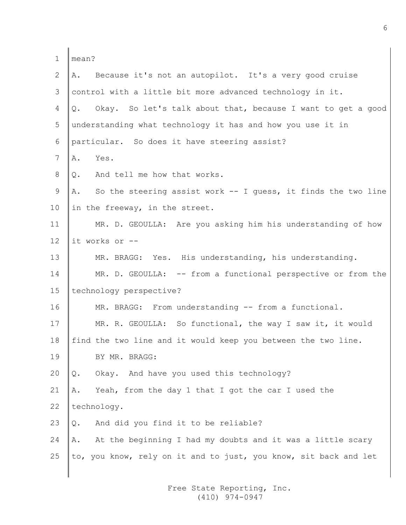| 1               | mean?                                                                 |
|-----------------|-----------------------------------------------------------------------|
| 2               | Because it's not an autopilot. It's a very good cruise<br>Α.          |
| 3               | control with a little bit more advanced technology in it.             |
| 4               | Okay. So let's talk about that, because I want to get a good<br>Q.    |
| 5 <sup>5</sup>  | understanding what technology it has and how you use it in            |
| 6               | particular. So does it have steering assist?                          |
| $7\overline{ }$ | Yes.<br>Α.                                                            |
| 8               | And tell me how that works.<br>Q.                                     |
| 9               | So the steering assist work $--$ I guess, it finds the two line<br>Α. |
| 10              | in the freeway, in the street.                                        |
| 11              | MR. D. GEOULLA: Are you asking him his understanding of how           |
| 12              | it works or --                                                        |
| 13              | MR. BRAGG: Yes. His understanding, his understanding.                 |
| 14              | MR. D. GEOULLA: -- from a functional perspective or from the          |
| 15 <sub>1</sub> | technology perspective?                                               |
| 16              | MR. BRAGG: From understanding -- from a functional.                   |
| 17              | MR. R. GEOULLA: So functional, the way I saw it, it would             |
| 18              | find the two line and it would keep you between the two line.         |
| 19              | BY MR. BRAGG:                                                         |
| 20              | Okay. And have you used this technology?<br>Q.                        |
| 21              | Yeah, from the day 1 that I got the car I used the<br>Α.              |
| 22              | technology.                                                           |
| 23              | And did you find it to be reliable?<br>Q.                             |
| 24              | At the beginning I had my doubts and it was a little scary<br>Α.      |
| 25              | to, you know, rely on it and to just, you know, sit back and let      |
|                 |                                                                       |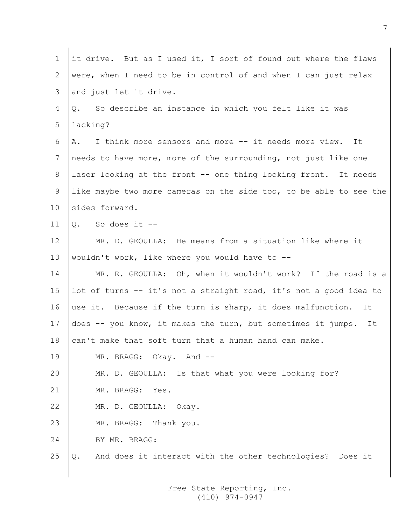| $\mathbf 1$     | it drive. But as I used it, I sort of found out where the flaws    |
|-----------------|--------------------------------------------------------------------|
| 2               | were, when I need to be in control of and when I can just relax    |
| 3               | and just let it drive.                                             |
| 4               | So describe an instance in which you felt like it was<br>$Q$ .     |
| 5               | lacking?                                                           |
| 6               | I think more sensors and more -- it needs more view.<br>It<br>A.   |
| $7\phantom{.0}$ | needs to have more, more of the surrounding, not just like one     |
| 8               | laser looking at the front -- one thing looking front. It needs    |
| 9               | like maybe two more cameras on the side too, to be able to see the |
| 10              | sides forward.                                                     |
| 11              | $Q.$ So does it --                                                 |
| 12              | MR. D. GEOULLA: He means from a situation like where it            |
| 13              | wouldn't work, like where you would have to --                     |
| 14              | MR. R. GEOULLA: Oh, when it wouldn't work? If the road is a        |
| 15              | lot of turns -- it's not a straight road, it's not a good idea to  |
| 16              | use it. Because if the turn is sharp, it does malfunction.<br>It   |
| 17              | does -- you know, it makes the turn, but sometimes it jumps. It    |
| 18              | can't make that soft turn that a human hand can make.              |
| 19              | MR. BRAGG: Okay. And --                                            |
| 20              | MR. D. GEOULLA: Is that what you were looking for?                 |
| 21              | MR. BRAGG: Yes.                                                    |
| 22              | MR. D. GEOULLA: Okay.                                              |
| 23              | MR. BRAGG: Thank you.                                              |
| 24              | BY MR. BRAGG:                                                      |
| 25              | And does it interact with the other technologies? Does it<br>Q.    |
|                 |                                                                    |

7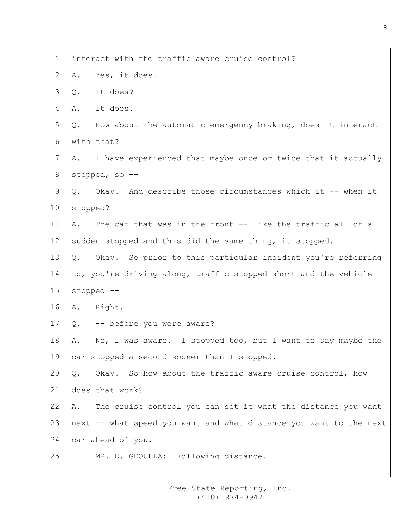| $\mathbf 1$     |          | interact with the traffic aware cruise control?                    |
|-----------------|----------|--------------------------------------------------------------------|
| 2               | Α.       | Yes, it does.                                                      |
| 3               | Q.       | It does?                                                           |
| 4               | Α.       | It does.                                                           |
| 5               | Q.       | How about the automatic emergency braking, does it interact        |
| 6               |          | with that?                                                         |
| $7\phantom{.0}$ | Α.       | I have experienced that maybe once or twice that it actually       |
| 8               |          | stopped, so --                                                     |
| $\mathsf 9$     | Q.       | Okay. And describe those circumstances which it -- when it         |
| 10              | stopped? |                                                                    |
| 11              | Α.       | The car that was in the front -- like the traffic all of a         |
| 12              |          | sudden stopped and this did the same thing, it stopped.            |
| 13              | Q.       | Okay. So prior to this particular incident you're referring        |
| 14              |          | to, you're driving along, traffic stopped short and the vehicle    |
| 15              |          | stopped --                                                         |
| 16              |          | A. Right.                                                          |
| 17              | Q.       | -- before you were aware?                                          |
| 18              | Α.       | No, I was aware. I stopped too, but I want to say maybe the        |
| 19              |          | car stopped a second sooner than I stopped.                        |
| 20              | Q.       | Okay. So how about the traffic aware cruise control, how           |
| 21              |          | does that work?                                                    |
| 22              | Α.       | The cruise control you can set it what the distance you want       |
| 23              |          | next -- what speed you want and what distance you want to the next |
| 24              |          | car ahead of you.                                                  |
| 25              |          | MR. D. GEOULLA: Following distance.                                |
|                 |          |                                                                    |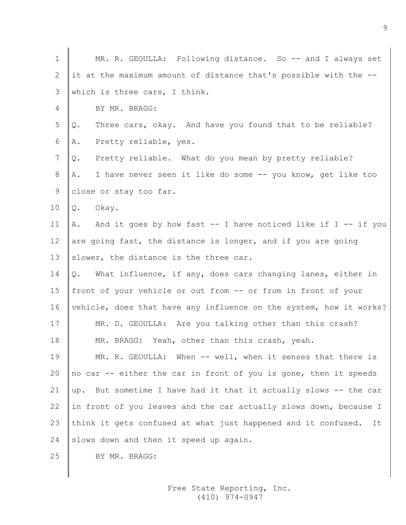| $\mathbf 1$ | MR. R. GEOULLA: Following distance. So -- and I always set          |
|-------------|---------------------------------------------------------------------|
| 2           | it at the maximum amount of distance that's possible with the --    |
| 3           | which is three cars, I think.                                       |
| 4           | BY MR. BRAGG:                                                       |
| 5           | Three cars, okay. And have you found that to be reliable?<br>Q.     |
| 6           | Pretty reliable, yes.<br>Α.                                         |
| 7           | Pretty reliable. What do you mean by pretty reliable?<br>Q.         |
| 8           | I have never seen it like do some -- you know, get like too<br>Α.   |
| 9           | close or stay too far.                                              |
| 10          | Okay.<br>Q.                                                         |
| 11          | A. And it goes by how fast -- I have noticed like if I -- if you    |
| 12          | are going fast, the distance is longer, and if you are going        |
| 13          | slower, the distance is the three car.                              |
| 14          | What influence, if any, does cars changing lanes, either in<br>Q.   |
| 15          | front of your vehicle or out from -- or from in front of your       |
| 16          | vehicle, does that have any influence on the system, how it works?  |
| 17          | MR. D. GEOULLA: Are you talking other than this crash?              |
| 18          | MR. BRAGG: Yeah, other than this crash, yeah.                       |
| 19          | MR. R. GEOULLA: When -- well, when it senses that there is          |
| 20          | no car -- either the car in front of you is gone, then it speeds    |
| 21          | But sometime I have had it that it actually slows -- the car<br>up. |
| 22          | in front of you leaves and the car actually slows down, because I   |
| 23          | think it gets confused at what just happened and it confused.<br>It |
| 24          | slows down and then it speed up again.                              |
| 25          | BY MR. BRAGG:                                                       |
|             |                                                                     |

∥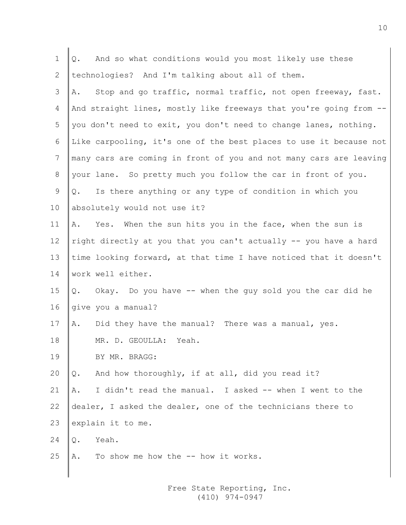| $\mathbf 1$     | And so what conditions would you most likely use these<br>Q.       |
|-----------------|--------------------------------------------------------------------|
| 2               | technologies? And I'm talking about all of them.                   |
| 3               | Stop and go traffic, normal traffic, not open freeway, fast.<br>Α. |
| 4               | And straight lines, mostly like freeways that you're going from -- |
| 5               | you don't need to exit, you don't need to change lanes, nothing.   |
| 6               | Like carpooling, it's one of the best places to use it because not |
| 7               | many cars are coming in front of you and not many cars are leaving |
| 8               | your lane. So pretty much you follow the car in front of you.      |
| 9               | Is there anything or any type of condition in which you<br>Q.      |
| 10 <sub>o</sub> | absolutely would not use it?                                       |
| 11              | Yes. When the sun hits you in the face, when the sun is<br>Α.      |
| 12              | right directly at you that you can't actually -- you have a hard   |
| 13              | time looking forward, at that time I have noticed that it doesn't  |
| 14              | work well either.                                                  |
| 15              | Okay. Do you have -- when the guy sold you the car did he<br>Q.    |
| 16              | give you a manual?                                                 |
| 17              | Did they have the manual? There was a manual, yes.<br>Α.           |
| 18              | MR. D. GEOULLA:<br>Yeah.                                           |
| 19              | BY MR. BRAGG:                                                      |
| 20              | And how thoroughly, if at all, did you read it?<br>Q.              |
| 21              | I didn't read the manual. I asked -- when I went to the<br>Α.      |
| 22              | dealer, I asked the dealer, one of the technicians there to        |
| 23              | explain it to me.                                                  |
| 24              | Yeah.<br>Q.                                                        |
| 25              | To show me how the -- how it works.<br>Α.                          |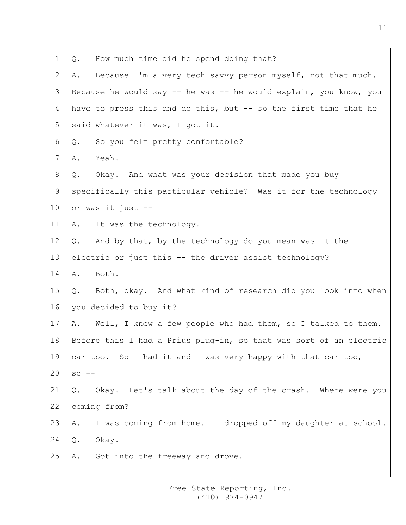| $\mathbf 1$ | How much time did he spend doing that?<br>Q.                       |
|-------------|--------------------------------------------------------------------|
| 2           | Because I'm a very tech savvy person myself, not that much.<br>Α.  |
| 3           | Because he would say -- he was -- he would explain, you know, you  |
| 4           | have to press this and do this, but -- so the first time that he   |
| 5           | said whatever it was, I got it.                                    |
| 6           | So you felt pretty comfortable?<br>Q.                              |
| 7           | Yeah.<br>Α.                                                        |
| 8           | Okay. And what was your decision that made you buy<br>Q.           |
| 9           | specifically this particular vehicle? Was it for the technology    |
| 10          | or was it just --                                                  |
| 11          | It was the technology.<br>Α.                                       |
| 12          | Q.<br>And by that, by the technology do you mean was it the        |
| 13          | electric or just this -- the driver assist technology?             |
| 14          | Both.<br>Α.                                                        |
| 15          | Both, okay. And what kind of research did you look into when<br>Q. |
| 16          | you decided to buy it?                                             |
| 17          | Well, I knew a few people who had them, so I talked to them.<br>Α. |
| 18          | Before this I had a Prius plug-in, so that was sort of an electric |
| 19          | car too. So I had it and I was very happy with that car too,       |
| 20          | $SO = -$                                                           |
| 21          | Okay. Let's talk about the day of the crash. Where were you<br>Q.  |
| 22          | coming from?                                                       |
| 23          | I was coming from home. I dropped off my daughter at school.<br>Α. |
| 24          | Okay.<br>Q.                                                        |
| 25          | Got into the freeway and drove.<br>Α.                              |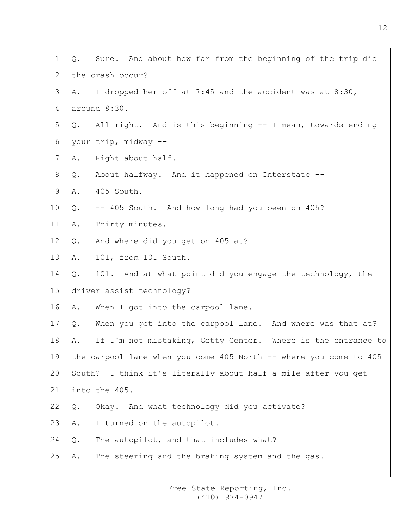| 1               | Sure. And about how far from the beginning of the trip did<br>Q.   |
|-----------------|--------------------------------------------------------------------|
| 2               | the crash occur?                                                   |
| 3               | I dropped her off at 7:45 and the accident was at 8:30,<br>A.      |
| 4               | around 8:30.                                                       |
| 5 <sup>5</sup>  | All right. And is this beginning -- I mean, towards ending<br>Q.   |
| 6               | your trip, midway --                                               |
| $7\overline{ }$ | Right about half.<br>Α.                                            |
| 8               | About halfway. And it happened on Interstate --<br>Q.              |
| 9               | 405 South.<br>Α.                                                   |
| 10              | -- 405 South. And how long had you been on 405?<br>Q.              |
| 11              | Thirty minutes.<br>Α.                                              |
| 12              | And where did you get on 405 at?<br>Q.                             |
| 13              | 101, from 101 South.<br>Α.                                         |
| 14              | 101. And at what point did you engage the technology, the<br>Q.    |
| 15              | driver assist technology?                                          |
| 16              | When I got into the carpool lane.<br>Α.                            |
| 17              | When you got into the carpool lane. And where was that at?<br>Q.   |
| 18              | If I'm not mistaking, Getty Center. Where is the entrance to<br>Α. |
| 19              | the carpool lane when you come 405 North -- where you come to 405  |
| 20              | South? I think it's literally about half a mile after you get      |
| 21              | into the 405.                                                      |
| 22              | Okay. And what technology did you activate?<br>Q.                  |
| 23              | I turned on the autopilot.<br>Α.                                   |
| 24              | The autopilot, and that includes what?<br>Q.                       |
| 25              | The steering and the braking system and the gas.<br>Α.             |
|                 |                                                                    |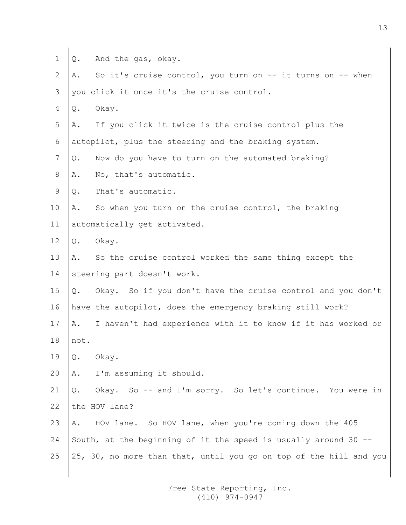$1 \parallel Q$ . And the gas, okay.

2  $\|$ A. So it's cruise control, you turn on  $-$  it turns on  $-$  when  $3$  vou click it once it's the cruise control.

 $4 \mid Q.$  Okay.

 $5$   $\parallel$  A. If you click it twice is the cruise control plus the 6 autopilot, plus the steering and the braking system.

 $7 \parallel Q$ . Now do you have to turn on the automated braking?

- $8$   $\vert$  A. No, that's automatic.
- $9 \parallel 0.$  That's automatic.

10  $\parallel$  A. So when you turn on the cruise control, the braking 11 | automatically get activated.

12  $\vert \Omega$ . Okay.

13 A. So the cruise control worked the same thing except the 14 steering part doesn't work.

15 Q. Okay. So if you don't have the cruise control and you don't 16 have the autopilot, does the emergency braking still work?

17 | A. I haven't had experience with it to know if it has worked or

- $18$  not.
- 19  $\lvert \mathcal{Q}.$  Okay.
- 20  $\parallel$  A. I'm assuming it should.

21  $\Diamond$ . Okay. So -- and I'm sorry. So let's continue. You were in  $22$  the HOV lane?

23  $\parallel$  A. HOV lane. So HOV lane, when you're coming down the 405 24 South, at the beginning of it the speed is usually around 30  $-$ 25  $\parallel$  25, 30, no more than that, until you go on top of the hill and you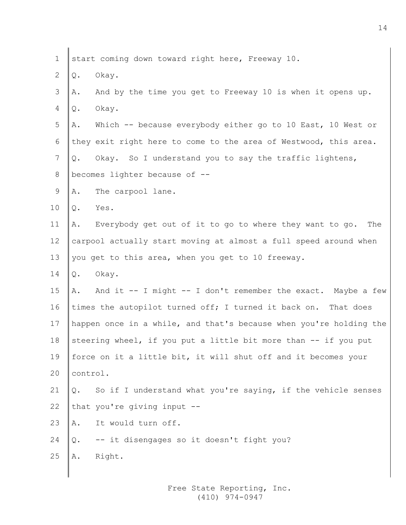| $\mathbf 1$               | start coming down toward right here, Freeway 10.                   |
|---------------------------|--------------------------------------------------------------------|
| $\mathbf{2}^{\mathsf{I}}$ | Okay.<br>Q.                                                        |
| 3                         | And by the time you get to Freeway 10 is when it opens up.<br>Α.   |
| 4                         | Okay.<br>Q.                                                        |
| 5                         | Which -- because everybody either go to 10 East, 10 West or<br>Α.  |
| 6                         | they exit right here to come to the area of Westwood, this area.   |
| $7\phantom{.0}$           | Okay. So I understand you to say the traffic lightens,<br>Q.       |
| 8                         | becomes lighter because of --                                      |
| 9                         | The carpool lane.<br>Α.                                            |
| 10                        | Yes.<br>Q.                                                         |
| 11                        | Everybody get out of it to go to where they want to go. The<br>Α.  |
| 12                        | carpool actually start moving at almost a full speed around when   |
| 13                        | you get to this area, when you get to 10 freeway.                  |
| 14                        | Okay.<br>Q.                                                        |
| 15 <sub>1</sub>           | And it -- I might -- I don't remember the exact. Maybe a few<br>Α. |
| 16                        | times the autopilot turned off; I turned it back on. That does     |
| 17                        | happen once in a while, and that's because when you're holding the |
| 18                        | steering wheel, if you put a little bit more than -- if you put    |
| 19                        | force on it a little bit, it will shut off and it becomes your     |
| 20                        | control.                                                           |
| 21                        | So if I understand what you're saying, if the vehicle senses<br>Q. |
| 22                        | that you're giving input --                                        |
| 23                        | It would turn off.<br>Α.                                           |
| 24                        | -- it disengages so it doesn't fight you?<br>Q.                    |
| 25                        | Right.<br>Α.                                                       |
|                           |                                                                    |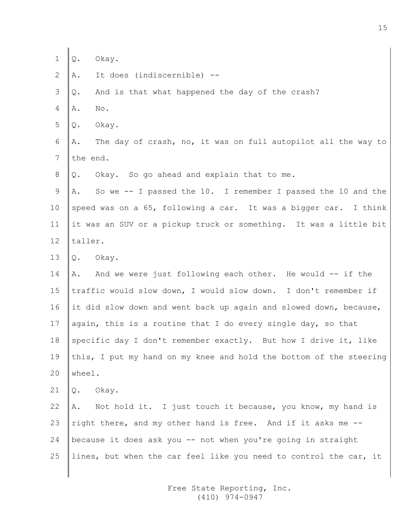| 1  | Okay.<br>Q.                                                         |
|----|---------------------------------------------------------------------|
| 2  | It does (indiscernible) --<br>Α.                                    |
| 3  | And is that what happened the day of the crash?<br>Q.               |
| 4  | No.<br>Α.                                                           |
| 5  | Okay.<br>Q.                                                         |
| 6  | The day of crash, no, it was on full autopilot all the way to<br>Α. |
| 7  | the end.                                                            |
| 8  | Okay. So go ahead and explain that to me.<br>Q.                     |
| 9  | So we -- I passed the 10. I remember I passed the 10 and the<br>Α.  |
| 10 | speed was on a 65, following a car. It was a bigger car. I think    |
| 11 | it was an SUV or a pickup truck or something. It was a little bit   |
| 12 | taller.                                                             |
| 13 | Okay.<br>Q.                                                         |
| 14 | And we were just following each other. He would -- if the<br>Α.     |
| 15 | traffic would slow down, I would slow down. I don't remember if     |
| 16 | it did slow down and went back up again and slowed down, because,   |
| 17 | again, this is a routine that I do every single day, so that        |
| 18 | specific day I don't remember exactly. But how I drive it, like     |
| 19 | this, I put my hand on my knee and hold the bottom of the steering  |
| 20 | wheel.                                                              |
| 21 | Okay.<br>Q.                                                         |
| 22 | A. Not hold it. I just touch it because, you know, my hand is       |
| 23 | right there, and my other hand is free. And if it asks me --        |
| 24 | because it does ask you -- not when you're going in straight        |
| 25 | lines, but when the car feel like you need to control the car, it   |
|    |                                                                     |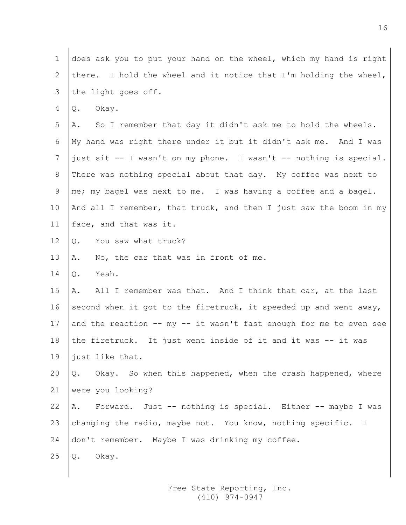| $\mathbf 1$     | does ask you to put your hand on the wheel, which my hand is right |
|-----------------|--------------------------------------------------------------------|
| 2               | there. I hold the wheel and it notice that I'm holding the wheel,  |
| 3               | the light goes off.                                                |
| 4               | Okay.<br>Q.                                                        |
| 5               | So I remember that day it didn't ask me to hold the wheels.<br>Α.  |
| 6               | My hand was right there under it but it didn't ask me. And I was   |
| 7               | just sit -- I wasn't on my phone. I wasn't -- nothing is special.  |
| 8               | There was nothing special about that day. My coffee was next to    |
| 9               | me; my bagel was next to me. I was having a coffee and a bagel.    |
| 10              | And all I remember, that truck, and then I just saw the boom in my |
| 11              | face, and that was it.                                             |
| 12 <sup>°</sup> | You saw what truck?<br>Q.                                          |
| 13              | No, the car that was in front of me.<br>Α.                         |
| 14              | Yeah.<br>Q.                                                        |
| 15              | All I remember was that. And I think that car, at the last<br>Α.   |
| 16              | second when it got to the firetruck, it speeded up and went away,  |
| 17              | and the reaction -- my -- it wasn't fast enough for me to even see |
| 18              | the firetruck. It just went inside of it and it was -- it was      |
| 19              | just like that.                                                    |
| 20              | Q. Okay. So when this happened, when the crash happened, where     |
| 21              | were you looking?                                                  |
| 22              | A. Forward. Just -- nothing is special. Either -- maybe I was      |
| 23              | changing the radio, maybe not. You know, nothing specific. I       |
| 24              | don't remember. Maybe I was drinking my coffee.                    |
| 25              | Okay.<br>Q.                                                        |
|                 |                                                                    |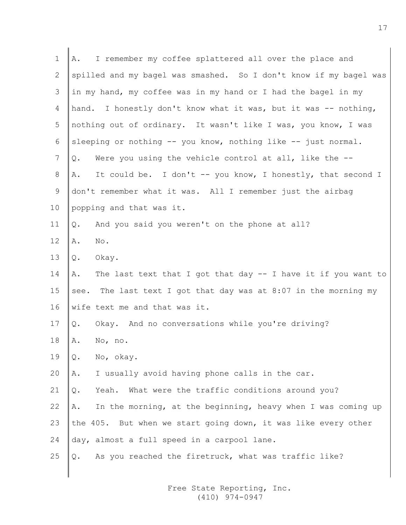| I remember my coffee splattered all over the place and<br>Α.         |
|----------------------------------------------------------------------|
| spilled and my bagel was smashed. So I don't know if my bagel was    |
| in my hand, my coffee was in my hand or I had the bagel in my        |
| hand. I honestly don't know what it was, but it was -- nothing,      |
| nothing out of ordinary. It wasn't like I was, you know, I was       |
| sleeping or nothing $-$ - you know, nothing like $-$ - just normal.  |
| Were you using the vehicle control at all, like the --<br>Q.         |
| It could be. I don't -- you know, I honestly, that second I<br>Α.    |
| don't remember what it was. All I remember just the airbag           |
| popping and that was it.                                             |
| And you said you weren't on the phone at all?<br>Q.                  |
| No.<br>Α.                                                            |
| Okay.<br>Q.                                                          |
| The last text that I got that day $-$ I have it if you want to<br>Α. |
| see. The last text I got that day was at 8:07 in the morning my      |
| wife text me and that was it.                                        |
| Okay. And no conversations while you're driving?<br>Q.               |
| Α.<br>No, no.                                                        |
| No, okay.<br>Q.                                                      |
| I usually avoid having phone calls in the car.<br>Α.                 |
| Yeah. What were the traffic conditions around you?<br>Q.             |
| In the morning, at the beginning, heavy when I was coming up<br>Α.   |
| the 405. But when we start going down, it was like every other       |
| day, almost a full speed in a carpool lane.                          |
| As you reached the firetruck, what was traffic like?<br>Q.           |
|                                                                      |

∥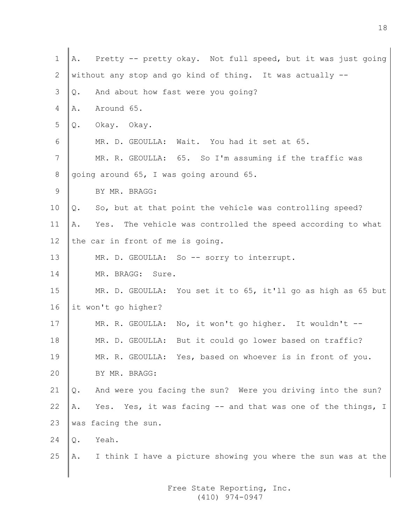| $\mathbf 1$     | Pretty -- pretty okay. Not full speed, but it was just going<br>Α.  |
|-----------------|---------------------------------------------------------------------|
| 2               | without any stop and go kind of thing. It was actually --           |
| 3               | And about how fast were you going?<br>Q.                            |
| $\overline{4}$  | Around 65.<br>Α.                                                    |
| 5               | Okay. Okay.<br>Q.                                                   |
| 6               | MR. D. GEOULLA: Wait. You had it set at 65.                         |
| $7\phantom{.0}$ | MR. R. GEOULLA: 65. So I'm assuming if the traffic was              |
| 8               | going around 65, I was going around 65.                             |
| 9               | BY MR. BRAGG:                                                       |
| 10              | So, but at that point the vehicle was controlling speed?<br>Q.      |
| 11              | Yes. The vehicle was controlled the speed according to what<br>Α.   |
| 12              | the car in front of me is going.                                    |
| 13              | MR. D. GEOULLA: So -- sorry to interrupt.                           |
| 14              | MR. BRAGG: Sure.                                                    |
| 15              | MR. D. GEOULLA: You set it to 65, it'll go as high as 65 but        |
| 16              | it won't go higher?                                                 |
| 17              | MR. R. GEOULLA: No, it won't go higher. It wouldn't --              |
| 18              | MR. D. GEOULLA: But it could go lower based on traffic?             |
| 19              | MR. R. GEOULLA: Yes, based on whoever is in front of you.           |
| 20              | BY MR. BRAGG:                                                       |
| 21              | And were you facing the sun? Were you driving into the sun?<br>Q.   |
| 22              | Yes. Yes, it was facing -- and that was one of the things, I<br>Α.  |
| 23              | was facing the sun.                                                 |
| 24              | Yeah.<br>$Q$ .                                                      |
| 25              | I think I have a picture showing you where the sun was at the<br>Α. |
|                 |                                                                     |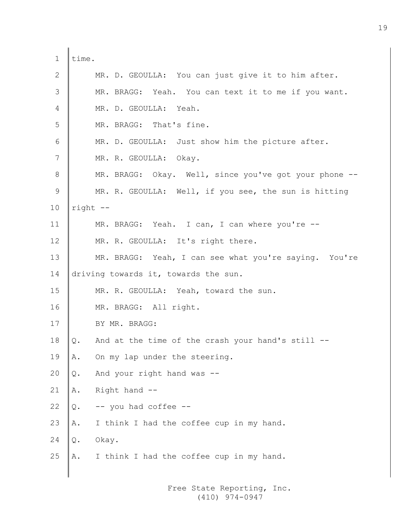1 | time. 2 MR. D. GEOULLA: You can just give it to him after. 3 MR. BRAGG: Yeah. You can text it to me if you want. 4 MR. D. GEOULLA: Yeah. 5 MR. BRAGG: That's fine. 6 MR. D. GEOULLA: Just show him the picture after. 7 | MR. R. GEOULLA: Okay. 8 MR. BRAGG: Okay. Well, since you've got your phone --9 MR. R. GEOULLA: Well, if you see, the sun is hitting 10  $right$  --11 MR. BRAGG: Yeah. I can, I can where you're --12 MR. R. GEOULLA: It's right there. 13 MR. BRAGG: Yeah, I can see what you're saying. You're 14 driving towards it, towards the sun. 15 MR. R. GEOULLA: Yeah, toward the sun. 16 MR. BRAGG: All right. 17 BY MR. BRAGG: 18  $\Diamond$ . And at the time of the crash your hand's still --19  $\|$ A. On my lap under the steering. 20  $\Diamond$ . And your right hand was --21  $\parallel$  A. Right hand  $-$ 22  $\Diamond$ . -- you had coffee --23  $\mathbb{A}$ . I think I had the coffee cup in my hand.  $24$  O. Okay. 25  $\|$ A. I think I had the coffee cup in my hand.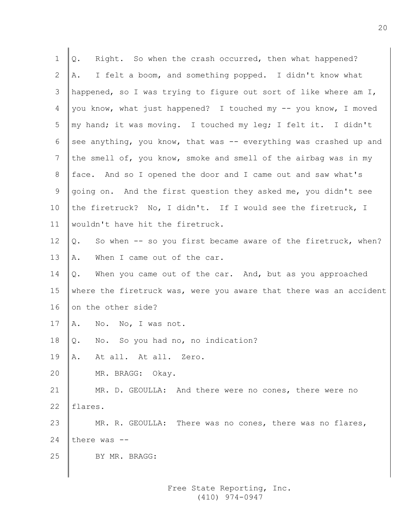| 1               | Right. So when the crash occurred, then what happened?<br>Q.       |
|-----------------|--------------------------------------------------------------------|
| 2               | I felt a boom, and something popped. I didn't know what<br>Α.      |
| 3               | happened, so I was trying to figure out sort of like where am I,   |
| 4               | you know, what just happened? I touched my -- you know, I moved    |
| 5               | my hand; it was moving. I touched my leg; I felt it. I didn't      |
| 6               | see anything, you know, that was -- everything was crashed up and  |
| 7               | the smell of, you know, smoke and smell of the airbag was in my    |
| 8               | face. And so I opened the door and I came out and saw what's       |
| 9               | going on. And the first question they asked me, you didn't see     |
| 10 <sub>o</sub> | the firetruck? No, I didn't. If I would see the firetruck, I       |
| 11              | wouldn't have hit the firetruck.                                   |
| 12              | So when -- so you first became aware of the firetruck, when?<br>Q. |
| 13              | When I came out of the car.<br>Α.                                  |
| 14              | When you came out of the car. And, but as you approached<br>Q.     |
| 15              | where the firetruck was, were you aware that there was an accident |
| 16              | on the other side?                                                 |
| 17              | No. No, I was not.<br>Α.                                           |
| 18              | Q. No. So you had no, no indication?                               |
| 19              | At all. At all. Zero.<br>Α.                                        |
| 20              | MR. BRAGG: Okay.                                                   |
| 21              | MR. D. GEOULLA: And there were no cones, there were no             |
| 22              | flares.                                                            |
| 23              | MR. R. GEOULLA: There was no cones, there was no flares,           |
| 24              | there was --                                                       |
| 25              | BY MR. BRAGG:                                                      |
|                 |                                                                    |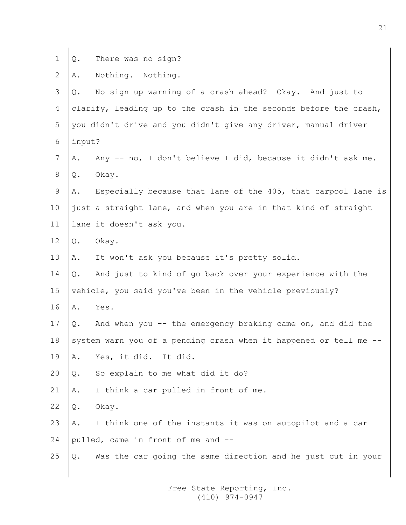- 
- $1 \bigotimes$ . There was no sign?

2  $A.$  Nothing. Nothing.

| 3               | No sign up warning of a crash ahead? Okay. And just to<br>Q.        |
|-----------------|---------------------------------------------------------------------|
| 4               | clarify, leading up to the crash in the seconds before the crash,   |
| 5               | you didn't drive and you didn't give any driver, manual driver      |
| 6               | input?                                                              |
| 7               | Any -- no, I don't believe I did, because it didn't ask me.<br>Α.   |
| 8               | Okay.<br>Q.                                                         |
| 9               | Especially because that lane of the 405, that carpool lane is<br>Α. |
| 10 <sub>o</sub> | just a straight lane, and when you are in that kind of straight     |
| 11              | lane it doesn't ask you.                                            |
| 12              | Okay.<br>Q.                                                         |
| 13              | It won't ask you because it's pretty solid.<br>Α.                   |
| 14              | And just to kind of go back over your experience with the<br>Q.     |
| 15              | vehicle, you said you've been in the vehicle previously?            |
| 16              | Yes.<br>Α.                                                          |
| 17              | And when you $-$ the emergency braking came on, and did the<br>Q.   |
| 18              | system warn you of a pending crash when it happened or tell me --   |
| 19              | Yes, it did. It did.<br>Α.                                          |
| 20              | So explain to me what did it do?<br>$\mathbb Q$ .                   |
| 21              | I think a car pulled in front of me.<br>Α.                          |
| 22              | Okay.<br>Q.                                                         |
| 23              | I think one of the instants it was on autopilot and a car<br>Α.     |
| 24              | pulled, came in front of me and --                                  |
| 25              | Was the car going the same direction and he just cut in your<br>Q.  |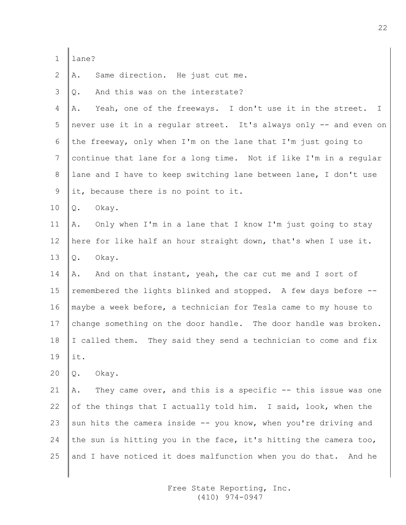| an<br>c |
|---------|
|         |

 $\mathbf{I}$ 

2  $\parallel$  A. Same direction. He just cut me.

 $3 \parallel$  0. And this was on the interstate?

4  $\|$ A. Yeah, one of the freeways. I don't use it in the street. I 5 never use it in a regular street. It's always only -- and even on 6 the freeway, only when I'm on the lane that I'm just going to 7  $|$  continue that lane for a long time. Not if like I'm in a regular 8 lane and I have to keep switching lane between lane, I don't use 9 Iit, because there is no point to it.

10 Q. Okay.

11 A. Only when I'm in a lane that I know I'm just going to stay 12 here for like half an hour straight down, that's when I use it. 13  $\&$ . Okay.

14  $\parallel$  A. And on that instant, yeah, the car cut me and I sort of 15  $\parallel$  remembered the lights blinked and stopped. A few days before  $-$ -16 maybe a week before, a technician for Tesla came to my house to 17 change something on the door handle. The door handle was broken. 18  $\parallel$ I called them. They said they send a technician to come and fix 19 it.

20  $\vert \mathbb{Q}$ . Okay.

21  $\parallel$  A. They came over, and this is a specific  $-$ - this issue was one 22 of the things that I actually told him. I said, look, when the 23 sun hits the camera inside  $-$  you know, when you're driving and 24 the sun is hitting you in the face, it's hitting the camera too, 25 and I have noticed it does malfunction when you do that. And he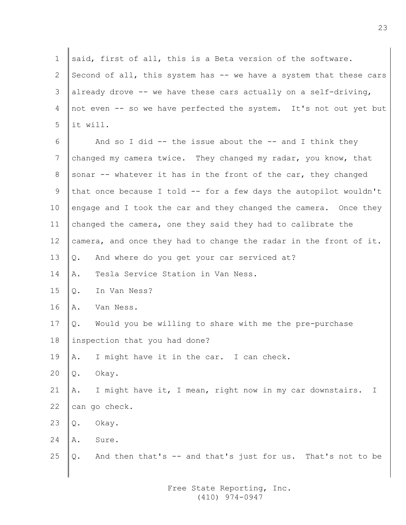1 said, first of all, this is a Beta version of the software. 2 Second of all, this system has  $-$  we have a system that these cars 3 already drove -- we have these cars actually on a self-driving, 4 not even -- so we have perfected the system. It's not out yet but  $5$  lit will. 6  $\parallel$  And so I did -- the issue about the -- and I think they 7 changed my camera twice. They changed my radar, you know, that 8 sonar  $-$  whatever it has in the front of the car, they changed 9 that once because I told  $-$  for a few days the autopilot wouldn't 10 engage and I took the car and they changed the camera. Once they 11 changed the camera, one they said they had to calibrate the 12  $\vert$  camera, and once they had to change the radar in the front of it. 13  $\Diamond$ . And where do you get your car serviced at? 14 A. Tesla Service Station in Van Ness. 15 O. In Van Ness? 16 A. Van Ness. 17  $\Diamond$ . Would you be willing to share with me the pre-purchase 18 linspection that you had done? 19  $\|$ A. I might have it in the car. I can check. 20  $\vert \mathbb{Q}$ . Okay. 21  $\parallel$  A. I might have it, I mean, right now in my car downstairs. I 22  $\vert$  can go check. 23  $\vert \Omega$ . Okay. 24  $A$ . Sure. 25  $\Diamond$ . And then that's  $-$  and that's just for us. That's not to be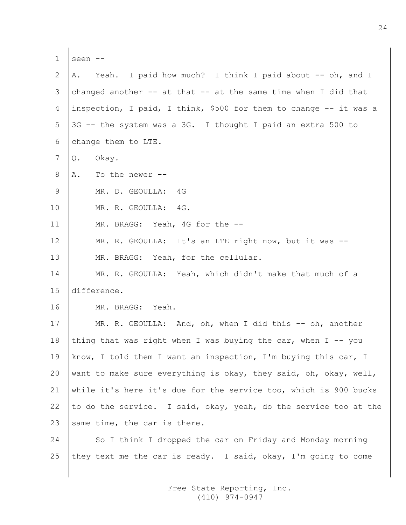| 1  | seen --                                                            |
|----|--------------------------------------------------------------------|
| 2  | Yeah. I paid how much? I think I paid about -- oh, and I<br>Α.     |
| 3  | changed another $--$ at that $--$ at the same time when I did that |
| 4  | inspection, I paid, I think, \$500 for them to change -- it was a  |
| 5  | 3G -- the system was a 3G. I thought I paid an extra 500 to        |
| 6  | change them to LTE.                                                |
| 7  | Okay.<br>Q.                                                        |
| 8  | To the newer --<br>Α.                                              |
| 9  | 4G<br>MR. D. GEOULLA:                                              |
| 10 | MR. R. GEOULLA: 4G.                                                |
| 11 | MR. BRAGG: Yeah, 4G for the --                                     |
| 12 | MR. R. GEOULLA: It's an LTE right now, but it was --               |
| 13 | MR. BRAGG: Yeah, for the cellular.                                 |
| 14 | MR. R. GEOULLA: Yeah, which didn't make that much of a             |
| 15 | difference.                                                        |
| 16 | MR. BRAGG: Yeah.                                                   |
| 17 | MR. R. GEOULLA: And, oh, when I did this -- oh, another            |
| 18 | thing that was right when I was buying the car, when I -- you      |
| 19 | know, I told them I want an inspection, I'm buying this car, I     |
| 20 | want to make sure everything is okay, they said, oh, okay, well,   |
| 21 | while it's here it's due for the service too, which is 900 bucks   |
| 22 | to do the service. I said, okay, yeah, do the service too at the   |
| 23 | same time, the car is there.                                       |
| 24 | So I think I dropped the car on Friday and Monday morning          |
| 25 | they text me the car is ready. I said, okay, I'm going to come     |
|    |                                                                    |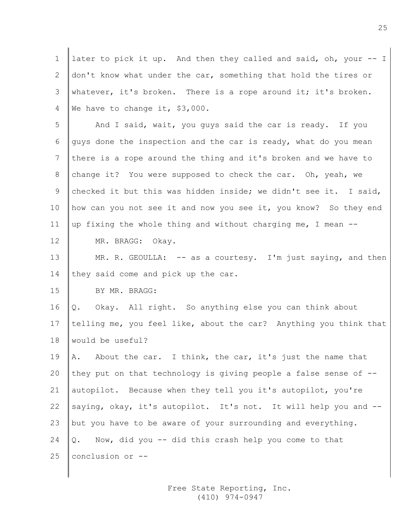1 later to pick it up. And then they called and said, oh, your -- I 2 don't know what under the car, something that hold the tires or 3 Whatever, it's broken. There is a rope around it; it's broken. 4 We have to change it, \$3,000. 5 And I said, wait, you quys said the car is ready. If you 6 guys done the inspection and the car is ready, what do you mean 7 there is a rope around the thing and it's broken and we have to 8 change it? You were supposed to check the car. Oh, yeah, we 9 checked it but this was hidden inside; we didn't see it. I said, 10 how can you not see it and now you see it, you know? So they end 11  $\parallel$ up fixing the whole thing and without charging me, I mean  $-$ 12 MR. BRAGG: Okay. 13 MR. R. GEOULLA: -- as a courtesy. I'm just saying, and then 14 they said come and pick up the car. 15 BY MR. BRAGG: 16  $\Diamond$ . Okay. All right. So anything else you can think about 17 telling me, you feel like, about the car? Anything you think that 18 Would be useful? 19  $\parallel$  A. About the car. I think, the car, it's just the name that 20 they put on that technology is giving people a false sense of  $-$ -21 autopilot. Because when they tell you it's autopilot, you're 22 saying, okay, it's autopilot. It's not. It will help you and --23 | but you have to be aware of your surrounding and everything. 24  $\Diamond$ . Now, did you -- did this crash help you come to that 25  $|$  conclusion or  $-$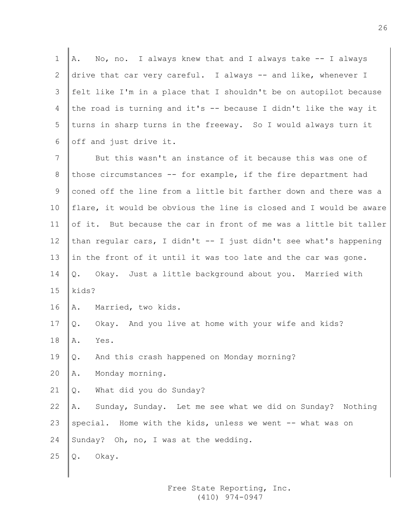1  $\mathbb A$ . No, no. I always knew that and I always take  $-$ - I always 2 drive that car very careful. I always -- and like, whenever I 3 felt like I'm in a place that I shouldn't be on autopilot because 4 the road is turning and it's -- because I didn't like the way it 5 turns in sharp turns in the freeway. So I would always turn it 6  $\vert$  off and just drive it.

7 | But this wasn't an instance of it because this was one of 8 those circumstances -- for example, if the fire department had 9 coned off the line from a little bit farther down and there was a 10  $\parallel$  flare, it would be obvious the line is closed and I would be aware 11 of it. But because the car in front of me was a little bit taller 12 than regular cars, I didn't  $-$  I just didn't see what's happening 13  $\parallel$  in the front of it until it was too late and the car was gone. 14 | Q. Okay. Just a little background about you. Married with 15  $\vert$ kids?

- 16 A. Married, two kids.
- 17  $\Diamond$ . Okay. And you live at home with your wife and kids?
- $18$  A. Yes.
- 19  $\Diamond$ . And this crash happened on Monday morning?
- 20  $\parallel$  A. Monday morning.
- 21  $\Diamond$ . What did you do Sunday?
- 22 A. Sunday, Sunday. Let me see what we did on Sunday? Nothing 23 special. Home with the kids, unless we went  $--$  what was on
- 24 Sunday? Oh, no, I was at the wedding.
- $25 \parallel Q.$  Okay.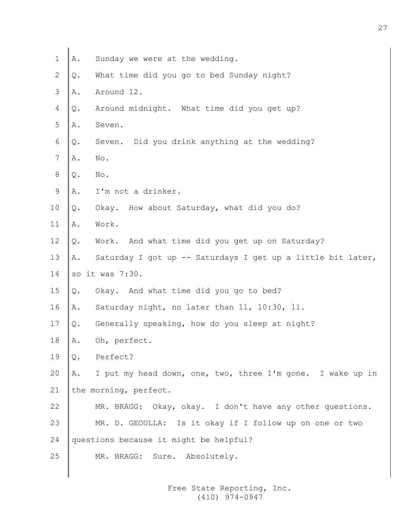- 1  $\mathbb{A}$ . Sunday we were at the wedding.
- 2  $\mathbb{Q}$ . What time did you go to bed Sunday night?
- $3 \parallel A$ . Around 12.
- $4 \parallel Q$ . Around midnight. What time did you get up?
- 5 A. Seven.
- 6  $\Diamond$ . Seven. Did you drink anything at the wedding?
- $7 \parallel A$ . No.
- $8 \mid \circ$ . No.
- 9  $A.$  I'm not a drinker.
- $10 \parallel Q$ . Okay. How about Saturday, what did you do?
- $11$   $\mathbb{A}$ . Work.
- 12  $\Diamond$ . Work. And what time did you get up on Saturday?
- 13 A. Saturday I got up -- Saturdays I get up a little bit later,
- 14  $\,$  so it was 7:30.
- 15  $\Diamond$ . Okay. And what time did you go to bed?
- 16 A. Saturday night, no later than 11, 10:30, 11.
- 17  $\Diamond$ . Generally speaking, how do you sleep at night?
- 18 A. Oh, perfect.
- 19 Q. Perfect?

20  $\parallel$  A. I put my head down, one, two, three I'm gone. I wake up in 21 the morning, perfect.

- 22 MR. BRAGG: Okay, okay. I don't have any other questions.
- 23 MR. D. GEOULLA: Is it okay if I follow up on one or two
- 24 questions because it might be helpful?
- 25 MR. BRAGG: Sure. Absolutely.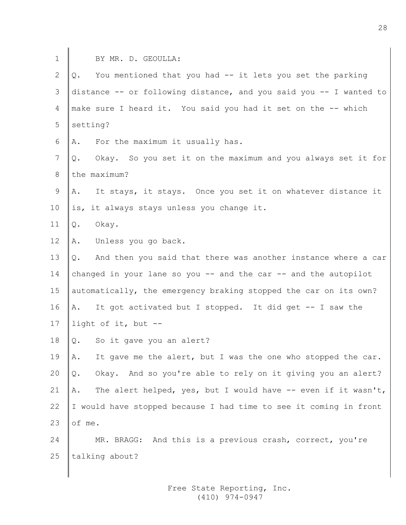| $\mathbf 1$    | BY MR. D. GEOULLA:                                                  |
|----------------|---------------------------------------------------------------------|
| $\mathbf{2}$   | You mentioned that you had -- it lets you set the parking<br>Q.     |
| $\mathfrak{Z}$ | distance -- or following distance, and you said you -- I wanted to  |
| $\overline{4}$ | make sure I heard it. You said you had it set on the -- which       |
| 5              | setting?                                                            |
| $\epsilon$     | For the maximum it usually has.<br>Α.                               |
| $\overline{7}$ | Okay. So you set it on the maximum and you always set it for<br>Q.  |
| $8\,$          | the maximum?                                                        |
| $\mathcal{G}$  | It stays, it stays. Once you set it on whatever distance it<br>Α.   |
| 10             | is, it always stays unless you change it.                           |
| 11             | Okay.<br>Q.                                                         |
| 12             | Unless you go back.<br>Α.                                           |
| 13             | And then you said that there was another instance where a car<br>Q. |
| 14             | changed in your lane so you $-$ and the car $-$ and the autopilot   |
| 15             | automatically, the emergency braking stopped the car on its own?    |
| 16             | It got activated but I stopped. It did get -- I saw the<br>Α.       |
| 17             | light of it, but --                                                 |
| 18             | So it gave you an alert?<br>Q.                                      |
| 19             | It gave me the alert, but I was the one who stopped the car.<br>Α.  |
| 20             | Okay. And so you're able to rely on it giving you an alert?<br>Q.   |
| 21             | The alert helped, yes, but I would have -- even if it wasn't,<br>Α. |
| 22             | I would have stopped because I had time to see it coming in front   |
| 23             | of me.                                                              |
| 24             | MR. BRAGG: And this is a previous crash, correct, you're            |
| 25             | talking about?                                                      |
|                |                                                                     |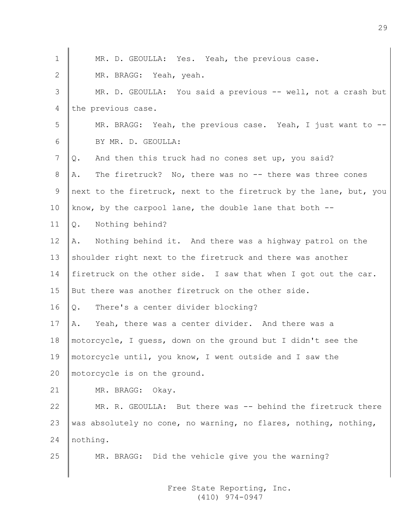| $\mathbf 1$ | MR. D. GEOULLA: Yes. Yeah, the previous case.                      |
|-------------|--------------------------------------------------------------------|
| 2           | MR. BRAGG: Yeah, yeah.                                             |
| 3           | MR. D. GEOULLA: You said a previous -- well, not a crash but       |
| 4           | the previous case.                                                 |
| 5           | MR. BRAGG: Yeah, the previous case. Yeah, I just want to -         |
| 6           | BY MR. D. GEOULLA:                                                 |
| 7           | And then this truck had no cones set up, you said?<br>Q.           |
| 8           | The firetruck? No, there was no -- there was three cones<br>Α.     |
| 9           | next to the firetruck, next to the firetruck by the lane, but, you |
| 10          | know, by the carpool lane, the double lane that both $-$ -         |
| 11          | Nothing behind?<br>Q.                                              |
| 12          | Nothing behind it. And there was a highway patrol on the<br>Α.     |
| 13          | shoulder right next to the firetruck and there was another         |
| 14          | firetruck on the other side. I saw that when I got out the car.    |
| 15          | But there was another firetruck on the other side.                 |
| 16          | There's a center divider blocking?<br>Q.                           |
| 17          | Yeah, there was a center divider. And there was a<br>Α.            |
| 18          | motorcycle, I quess, down on the ground but I didn't see the       |
| 19          | motorcycle until, you know, I went outside and I saw the           |
| 20          | motorcycle is on the ground.                                       |
| 21          | MR. BRAGG: Okay.                                                   |
| 22          | MR. R. GEOULLA: But there was -- behind the firetruck there        |
| 23          | was absolutely no cone, no warning, no flares, nothing, nothing,   |
| 24          | nothing.                                                           |
| 25          | MR. BRAGG: Did the vehicle give you the warning?                   |
|             |                                                                    |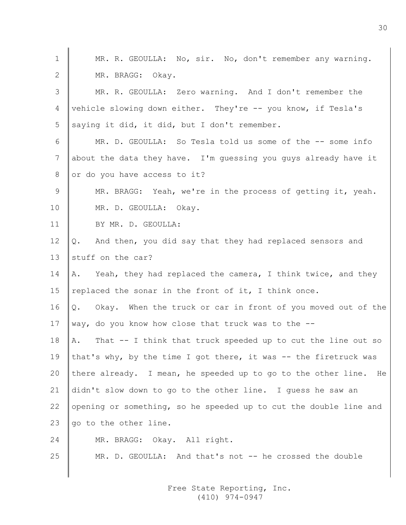| $\mathbf 1$     | MR. R. GEOULLA: No, sir. No, don't remember any warning.           |
|-----------------|--------------------------------------------------------------------|
| 2               | MR. BRAGG: Okay.                                                   |
| 3               | MR. R. GEOULLA: Zero warning. And I don't remember the             |
| 4               | vehicle slowing down either. They're -- you know, if Tesla's       |
| 5               | saying it did, it did, but I don't remember.                       |
| 6               | MR. D. GEOULLA: So Tesla told us some of the -- some info          |
| 7               | about the data they have. I'm guessing you guys already have it    |
| 8               | or do you have access to it?                                       |
| 9               | MR. BRAGG: Yeah, we're in the process of getting it, yeah.         |
| 10 <sub>o</sub> | MR. D. GEOULLA: Okay.                                              |
| 11              | BY MR. D. GEOULLA:                                                 |
| 12 <sup>°</sup> | Q. And then, you did say that they had replaced sensors and        |
| 13              | stuff on the car?                                                  |
| 14              | A. Yeah, they had replaced the camera, I think twice, and they     |
| 15              | replaced the sonar in the front of it, I think once.               |
| 16              | Q. Okay. When the truck or car in front of you moved out of the    |
| 17              | way, do you know how close that truck was to the --                |
| 18              | That -- I think that truck speeded up to cut the line out so<br>A. |
| 19              | that's why, by the time I got there, it was -- the firetruck was   |
| 20              | there already. I mean, he speeded up to go to the other line. He   |
| 21              | didn't slow down to go to the other line. I guess he saw an        |
| 22              | opening or something, so he speeded up to cut the double line and  |
| 23              | go to the other line.                                              |
| 24              | MR. BRAGG: Okay. All right.                                        |
| 25              | MR. D. GEOULLA: And that's not -- he crossed the double            |
|                 |                                                                    |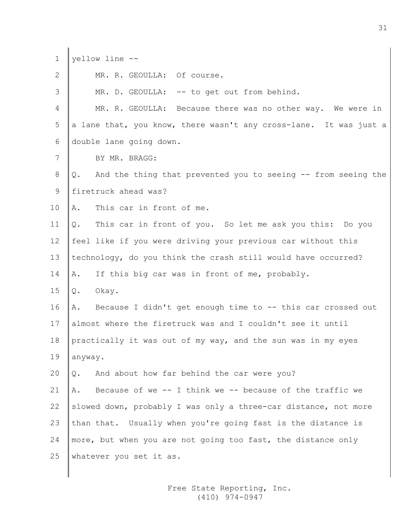| $\mathbf 1$ | yellow line --                                                    |
|-------------|-------------------------------------------------------------------|
| 2           | MR. R. GEOULLA: Of course.                                        |
| 3           | MR. D. GEOULLA: -- to get out from behind.                        |
| 4           | MR. R. GEOULLA: Because there was no other way. We were in        |
| 5           | a lane that, you know, there wasn't any cross-lane. It was just a |
| 6           | double lane going down.                                           |
| 7           | BY MR. BRAGG:                                                     |
| 8           | Q. And the thing that prevented you to seeing -- from seeing the  |
| 9           | firetruck ahead was?                                              |
| 10          | This car in front of me.<br>Α.                                    |
| 11          | This car in front of you. So let me ask you this: Do you<br>Q.    |
| 12          | feel like if you were driving your previous car without this      |
| 13          | technology, do you think the crash still would have occurred?     |
| 14          | If this big car was in front of me, probably.<br>Α.               |
| 15          | Okay.<br>Q.                                                       |
| 16          | Because I didn't get enough time to -- this car crossed out<br>Α. |
| 17          | almost where the firetruck was and I couldn't see it until        |
| 18          | practically it was out of my way, and the sun was in my eyes      |
| 19          | anyway.                                                           |
| 20          | And about how far behind the car were you?<br>$Q$ .               |
| 21          | Because of we -- I think we -- because of the traffic we<br>Α.    |
| 22          | slowed down, probably I was only a three-car distance, not more   |
| 23          | than that. Usually when you're going fast is the distance is      |
| 24          | more, but when you are not going too fast, the distance only      |
| 25          | whatever you set it as.                                           |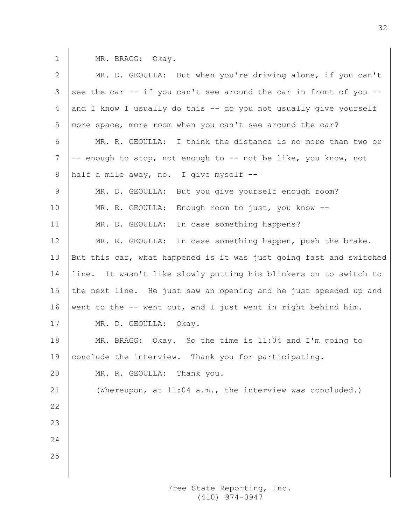1 | MR. BRAGG: Okay.

| 2                 | MR. D. GEOULLA: But when you're driving alone, if you can't        |
|-------------------|--------------------------------------------------------------------|
| 3                 | see the car -- if you can't see around the car in front of you --  |
| 4                 | and I know I usually do this -- do you not usually give yourself   |
| 5                 | more space, more room when you can't see around the car?           |
| 6                 | MR. R. GEOULLA: I think the distance is no more than two or        |
| 7                 | -- enough to stop, not enough to -- not be like, you know, not     |
| 8                 | half a mile away, no. I give myself --                             |
| 9                 | MR. D. GEOULLA: But you give yourself enough room?                 |
| 10                | MR. R. GEOULLA: Enough room to just, you know --                   |
| 11                | In case something happens?<br>MR. D. GEOULLA:                      |
| $12 \overline{ }$ | MR. R. GEOULLA: In case something happen, push the brake.          |
| 13                | But this car, what happened is it was just going fast and switched |
| 14                | line. It wasn't like slowly putting his blinkers on to switch to   |
| 15                | the next line. He just saw an opening and he just speeded up and   |
| 16                | went to the -- went out, and I just went in right behind him.      |
| 17                | MR. D. GEOULLA: Okay.                                              |
| 18                | MR. BRAGG: Okay. So the time is 11:04 and I'm going to             |
| 19                | conclude the interview. Thank you for participating.               |
| 20                | MR. R. GEOULLA: Thank you.                                         |
| 21                | (Whereupon, at 11:04 a.m., the interview was concluded.)           |
| 22                |                                                                    |
| 23                |                                                                    |
| 24                |                                                                    |
| 25                |                                                                    |
|                   |                                                                    |